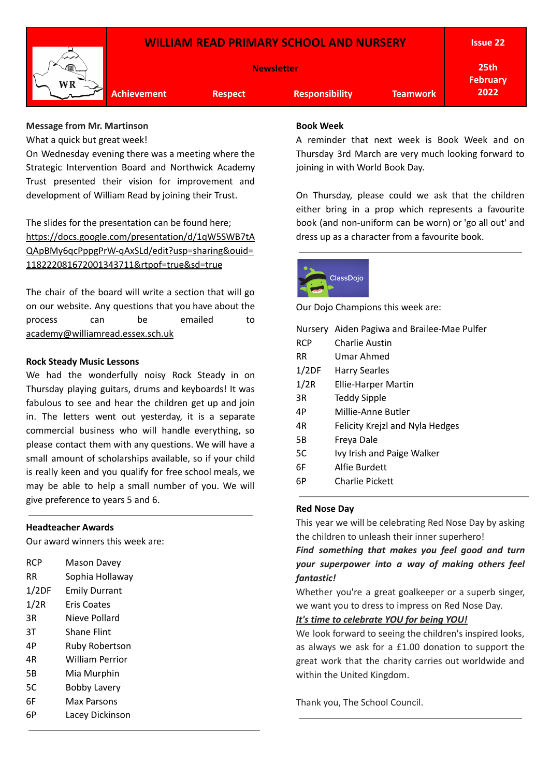

## **Message from Mr. Martinson**

What a quick but great week!

On Wednesday evening there was a meeting where the Strategic Intervention Board and Northwick Academy Trust presented their vision for improvement and development of William Read by joining their Trust.

The slides for the presentation can be found here; [https://docs.google.com/presentation/d/1qW5SWB7tA](https://docs.google.com/presentation/d/1qW5SWB7tAQApBMy6qcPppgPrW-qAxSLd/edit?usp=sharing&ouid=118222081672001343711&rtpof=true&sd=true) [QApBMy6qcPppgPrW-qAxSLd/edit?usp=sharing&ouid=](https://docs.google.com/presentation/d/1qW5SWB7tAQApBMy6qcPppgPrW-qAxSLd/edit?usp=sharing&ouid=118222081672001343711&rtpof=true&sd=true) [118222081672001343711&rtpof=true&sd=true](https://docs.google.com/presentation/d/1qW5SWB7tAQApBMy6qcPppgPrW-qAxSLd/edit?usp=sharing&ouid=118222081672001343711&rtpof=true&sd=true)

The chair of the board will write a section that will go on our website. Any questions that you have about the process can be emailed to [academy@williamread.essex.sch.uk](mailto:academy@williamread.essex.sch.uk)

#### **Rock Steady Music Lessons**

We had the wonderfully noisy Rock Steady in on Thursday playing guitars, drums and keyboards! It was fabulous to see and hear the children get up and join in. The letters went out yesterday, it is a separate commercial business who will handle everything, so please contact them with any questions. We will have a small amount of scholarships available, so if your child is really keen and you qualify for free school meals, we may be able to help a small number of you. We will give preference to years 5 and 6.

#### **Headteacher Awards**

Our award winners this week are:

| <b>RCP</b> | <b>Mason Davey</b>     |
|------------|------------------------|
| RR         | Sophia Hollaway        |
| 1/2DF      | Emily Durrant          |
| 1/2R       | Eris Coates            |
| 3R         | Nieve Pollard          |
| 3T         | <b>Shane Flint</b>     |
| 4Р         | <b>Ruby Robertson</b>  |
| 4R         | <b>William Perrior</b> |
| 5Β         | Mia Murphin            |
| 5C         | <b>Bobby Lavery</b>    |
| 6F         | Max Parsons            |
| 6P         | Lacey Dickinson        |

#### **Book Week**

A reminder that next week is Book Week and on Thursday 3rd March are very much looking forward to joining in with World Book Day.

On Thursday, please could we ask that the children either bring in a prop which represents a favourite book (and non-uniform can be worn) or 'go all out' and dress up as a character from a favourite book.



Our Dojo Champions this week are:

|            | Nursery Aiden Pagiwa and Brailee-Mae Pulfer |
|------------|---------------------------------------------|
| <b>RCP</b> | Charlie Austin                              |
| RR.        | Umar Ahmed                                  |
| 1/2DF      | Harry Searles                               |
| 1/2R       | Ellie-Harper Martin                         |
| 3R         | Teddy Sipple                                |
| 4P         | Millie-Anne Butler                          |
| 4R         | Felicity Krejzl and Nyla Hedges             |
| 5B         | Freya Dale                                  |
| 5C         | Ivy Irish and Paige Walker                  |
| 6F         | Alfie Burdett                               |
| 6Р         | Charlie Pickett                             |
|            |                                             |

#### **Red Nose Day**

This year we will be celebrating Red Nose Day by asking the children to unleash their inner superhero!

*Find something that makes you feel good and turn your superpower into a way of making others feel fantastic!*

Whether you're a great goalkeeper or a superb singer, we want you to dress to impress on Red Nose Day.

#### *It's time to celebrate YOU for being YOU!*

We look forward to seeing the children's inspired looks, as always we ask for a £1.00 donation to support the great work that the charity carries out worldwide and within the United Kingdom.

Thank you, The School Council.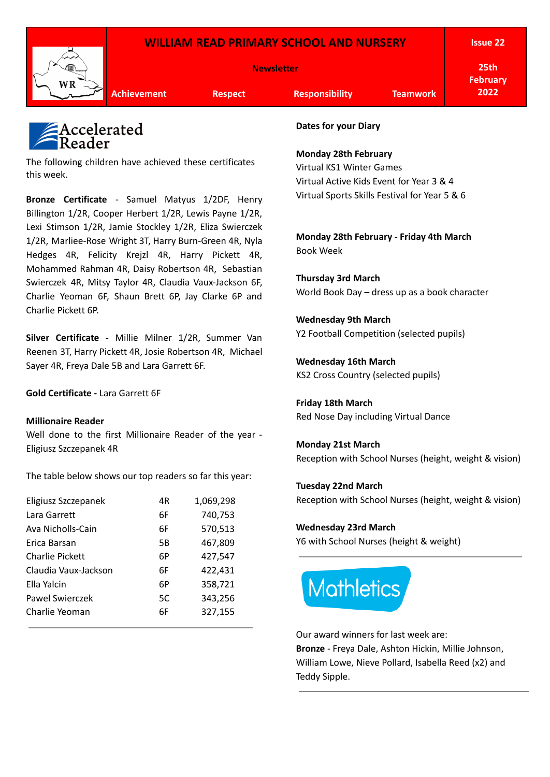## **WILLIAM READ PRIMARY SCHOOL AND NURSERY**



**Issue 22**

**25th February 2022**

**Achievement Respect Responsibility Teamwork**

# Accelerate<mark>d</mark><br>Reader

The following children have achieved these certificates this week.

**Bronze Certificate** - Samuel Matyus 1/2DF, Henry Billington 1/2R, Cooper Herbert 1/2R, Lewis Payne 1/2R, Lexi Stimson 1/2R, Jamie Stockley 1/2R, Eliza Swierczek 1/2R, Marliee-Rose Wright 3T, Harry Burn-Green 4R, Nyla Hedges 4R, Felicity Krejzl 4R, Harry Pickett 4R, Mohammed Rahman 4R, Daisy Robertson 4R, Sebastian Swierczek 4R, Mitsy Taylor 4R, Claudia Vaux-Jackson 6F, Charlie Yeoman 6F, Shaun Brett 6P, Jay Clarke 6P and Charlie Pickett 6P.

**Silver Certificate -** Millie Milner 1/2R, Summer Van Reenen 3T, Harry Pickett 4R, Josie Robertson 4R, Michael Sayer 4R, Freya Dale 5B and Lara Garrett 6F.

**Gold Certificate -** Lara Garrett 6F

## **Millionaire Reader**

Well done to the first Millionaire Reader of the year - Eligiusz Szczepanek 4R

The table below shows our top readers so far this year:

| Eligiusz Szczepanek  | 4R            | 1,069,298 |
|----------------------|---------------|-----------|
| Lara Garrett         | 740,753<br>6F |           |
| Ava Nicholls-Cain    | 6F            | 570,513   |
| Erica Barsan         | 5B            | 467,809   |
| Charlie Pickett      | 6P            | 427,547   |
| Claudia Vaux-Jackson | 6F            | 422,431   |
| Ella Yalcin          | 6Р            | 358,721   |
| Pawel Swierczek      | 5C            | 343,256   |
| Charlie Yeoman       | 6F            | 327,155   |
|                      |               |           |

**Dates for your Diary**

**Monday 28th February**

Virtual KS1 Winter Games Virtual Active Kids Event for Year 3 & 4 Virtual Sports Skills Festival for Year 5 & 6

**Monday 28th February - Friday 4th March** Book Week

**Thursday 3rd March** World Book Day – dress up as a book character

**Wednesday 9th March** Y2 Football Competition (selected pupils)

**Wednesday 16th March** KS2 Cross Country (selected pupils)

**Friday 18th March** Red Nose Day including Virtual Dance

**Monday 21st March** Reception with School Nurses (height, weight & vision)

## **Tuesday 22nd March**

Reception with School Nurses (height, weight & vision)

## **Wednesday 23rd March**

Y6 with School Nurses (height & weight)



Our award winners for last week are:

**Bronze** - Freya Dale, Ashton Hickin, Millie Johnson, William Lowe, Nieve Pollard, Isabella Reed (x2) and Teddy Sipple.